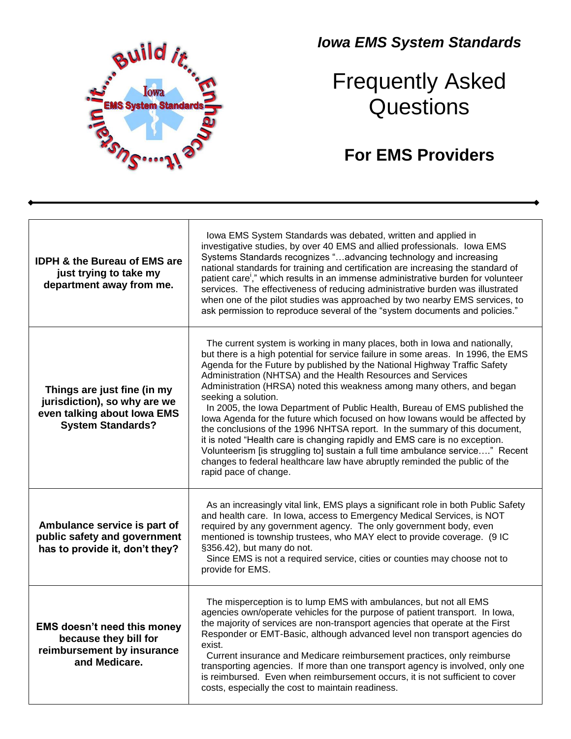

## *Iowa EMS System Standards*

## Frequently Asked Questions

## **For EMS Providers**

| <b>IDPH &amp; the Bureau of EMS are</b><br>just trying to take my<br>department away from me.                          | Iowa EMS System Standards was debated, written and applied in<br>investigative studies, by over 40 EMS and allied professionals. Iowa EMS<br>Systems Standards recognizes "advancing technology and increasing<br>national standards for training and certification are increasing the standard of<br>patient care," which results in an immense administrative burden for volunteer<br>services. The effectiveness of reducing administrative burden was illustrated<br>when one of the pilot studies was approached by two nearby EMS services, to<br>ask permission to reproduce several of the "system documents and policies."                                                                                                                                                                                                                                                                                            |
|------------------------------------------------------------------------------------------------------------------------|--------------------------------------------------------------------------------------------------------------------------------------------------------------------------------------------------------------------------------------------------------------------------------------------------------------------------------------------------------------------------------------------------------------------------------------------------------------------------------------------------------------------------------------------------------------------------------------------------------------------------------------------------------------------------------------------------------------------------------------------------------------------------------------------------------------------------------------------------------------------------------------------------------------------------------|
| Things are just fine (in my<br>jurisdiction), so why are we<br>even talking about lowa EMS<br><b>System Standards?</b> | The current system is working in many places, both in lowa and nationally,<br>but there is a high potential for service failure in some areas. In 1996, the EMS<br>Agenda for the Future by published by the National Highway Traffic Safety<br>Administration (NHTSA) and the Health Resources and Services<br>Administration (HRSA) noted this weakness among many others, and began<br>seeking a solution.<br>In 2005, the Iowa Department of Public Health, Bureau of EMS published the<br>lowa Agenda for the future which focused on how lowans would be affected by<br>the conclusions of the 1996 NHTSA report. In the summary of this document,<br>it is noted "Health care is changing rapidly and EMS care is no exception.<br>Volunteerism [is struggling to] sustain a full time ambulance service" Recent<br>changes to federal healthcare law have abruptly reminded the public of the<br>rapid pace of change. |
| Ambulance service is part of<br>public safety and government<br>has to provide it, don't they?                         | As an increasingly vital link, EMS plays a significant role in both Public Safety<br>and health care. In Iowa, access to Emergency Medical Services, is NOT<br>required by any government agency. The only government body, even<br>mentioned is township trustees, who MAY elect to provide coverage. (9 IC<br>§356.42), but many do not.<br>Since EMS is not a required service, cities or counties may choose not to<br>provide for EMS.                                                                                                                                                                                                                                                                                                                                                                                                                                                                                    |
| <b>EMS doesn't need this money</b><br>because they bill for<br>reimbursement by insurance<br>and Medicare.             | The misperception is to lump EMS with ambulances, but not all EMS<br>agencies own/operate vehicles for the purpose of patient transport. In lowa,<br>the majority of services are non-transport agencies that operate at the First<br>Responder or EMT-Basic, although advanced level non transport agencies do<br>exist.<br>Current insurance and Medicare reimbursement practices, only reimburse<br>transporting agencies. If more than one transport agency is involved, only one<br>is reimbursed. Even when reimbursement occurs, it is not sufficient to cover<br>costs, especially the cost to maintain readiness.                                                                                                                                                                                                                                                                                                     |